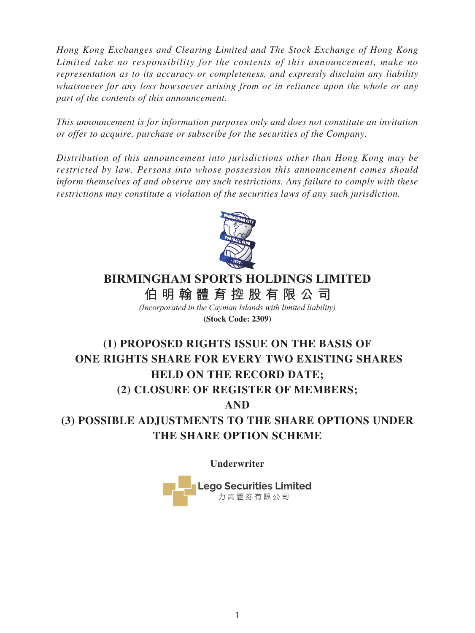*Hong Kong Exchanges and Clearing Limited and The Stock Exchange of Hong Kong Limited take no responsibility for the contents of this announcement, make no representation as to its accuracy or completeness, and expressly disclaim any liability whatsoever for any loss howsoever arising from or in reliance upon the whole or any part of the contents of this announcement.*

*This announcement is for information purposes only and does not constitute an invitation or offer to acquire, purchase or subscribe for the securities of the Company.*

*Distribution of this announcement into jurisdictions other than Hong Kong may be restricted by law. Persons into whose possession this announcement comes should inform themselves of and observe any such restrictions. Any failure to comply with these restrictions may constitute a violation of the securities laws of any such jurisdiction.*



# **BIRMINGHAM SPORTS HOLDINGS LIMITED**

**伯明翰體育控股有限公 司**

*(Incorporated in the Cayman Islands with limited liability)* **(Stock Code: 2309)**

# **(1) PROPOSED RIGHTS ISSUE ON THE BASIS OF ONE RIGHTS SHARE FOR EVERY TWO EXISTING SHARES HELD ON THE RECORD DATE; (2) CLOSURE OF REGISTER OF MEMBERS;**

**AND**

**(3) POSSIBLE ADJUSTMENTS TO THE SHARE OPTIONS UNDER THE SHARE OPTION SCHEME**

**Underwriter**

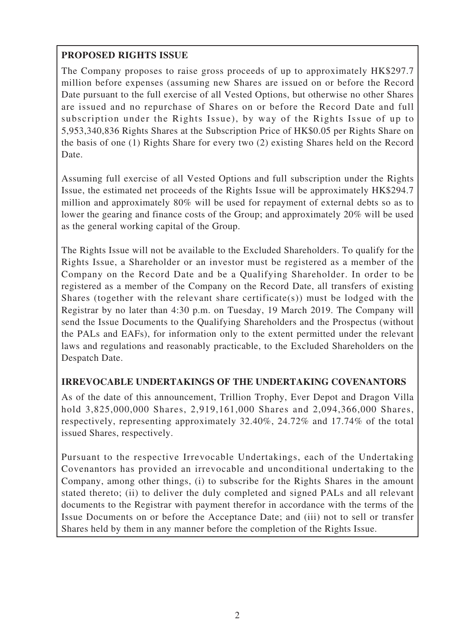# **PROPOSED RIGHTS ISSUE**

The Company proposes to raise gross proceeds of up to approximately HK\$297.7 million before expenses (assuming new Shares are issued on or before the Record Date pursuant to the full exercise of all Vested Options, but otherwise no other Shares are issued and no repurchase of Shares on or before the Record Date and full subscription under the Rights Issue), by way of the Rights Issue of up to 5,953,340,836 Rights Shares at the Subscription Price of HK\$0.05 per Rights Share on the basis of one (1) Rights Share for every two (2) existing Shares held on the Record Date.

Assuming full exercise of all Vested Options and full subscription under the Rights Issue, the estimated net proceeds of the Rights Issue will be approximately HK\$294.7 million and approximately 80% will be used for repayment of external debts so as to lower the gearing and finance costs of the Group; and approximately 20% will be used as the general working capital of the Group.

The Rights Issue will not be available to the Excluded Shareholders. To qualify for the Rights Issue, a Shareholder or an investor must be registered as a member of the Company on the Record Date and be a Qualifying Shareholder. In order to be registered as a member of the Company on the Record Date, all transfers of existing Shares (together with the relevant share certificate(s)) must be lodged with the Registrar by no later than 4:30 p.m. on Tuesday, 19 March 2019. The Company will send the Issue Documents to the Qualifying Shareholders and the Prospectus (without the PALs and EAFs), for information only to the extent permitted under the relevant laws and regulations and reasonably practicable, to the Excluded Shareholders on the Despatch Date.

# **IRREVOCABLE UNDERTAKINGS OF THE UNDERTAKING COVENANTORS**

As of the date of this announcement, Trillion Trophy, Ever Depot and Dragon Villa hold 3,825,000,000 Shares, 2,919,161,000 Shares and 2,094,366,000 Shares, respectively, representing approximately 32.40%, 24.72% and 17.74% of the total issued Shares, respectively.

Pursuant to the respective Irrevocable Undertakings, each of the Undertaking Covenantors has provided an irrevocable and unconditional undertaking to the Company, among other things, (i) to subscribe for the Rights Shares in the amount stated thereto; (ii) to deliver the duly completed and signed PALs and all relevant documents to the Registrar with payment therefor in accordance with the terms of the Issue Documents on or before the Acceptance Date; and (iii) not to sell or transfer Shares held by them in any manner before the completion of the Rights Issue.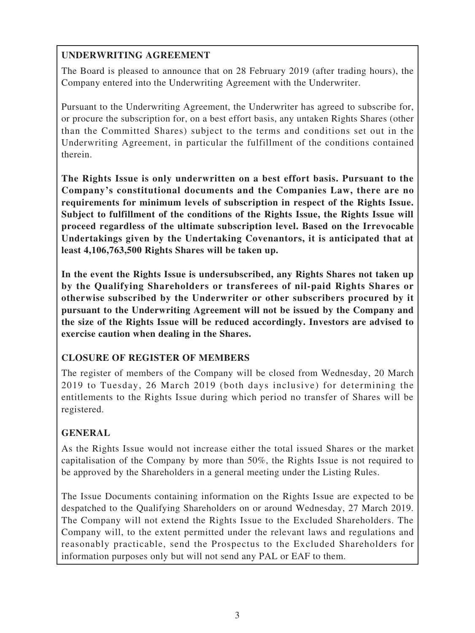# **UNDERWRITING AGREEMENT**

The Board is pleased to announce that on 28 February 2019 (after trading hours), the Company entered into the Underwriting Agreement with the Underwriter.

Pursuant to the Underwriting Agreement, the Underwriter has agreed to subscribe for, or procure the subscription for, on a best effort basis, any untaken Rights Shares (other than the Committed Shares) subject to the terms and conditions set out in the Underwriting Agreement, in particular the fulfillment of the conditions contained therein.

**The Rights Issue is only underwritten on a best effort basis. Pursuant to the Company's constitutional documents and the Companies Law, there are no requirements for minimum levels of subscription in respect of the Rights Issue. Subject to fulfillment of the conditions of the Rights Issue, the Rights Issue will proceed regardless of the ultimate subscription level. Based on the Irrevocable Undertakings given by the Undertaking Covenantors, it is anticipated that at least 4,106,763,500 Rights Shares will be taken up.**

**In the event the Rights Issue is undersubscribed, any Rights Shares not taken up by the Qualifying Shareholders or transferees of nil-paid Rights Shares or otherwise subscribed by the Underwriter or other subscribers procured by it pursuant to the Underwriting Agreement will not be issued by the Company and the size of the Rights Issue will be reduced accordingly. Investors are advised to exercise caution when dealing in the Shares.**

# **CLOSURE OF REGISTER OF MEMBERS**

The register of members of the Company will be closed from Wednesday, 20 March 2019 to Tuesday, 26 March 2019 (both days inclusive) for determining the entitlements to the Rights Issue during which period no transfer of Shares will be registered.

# **GENERAL**

As the Rights Issue would not increase either the total issued Shares or the market capitalisation of the Company by more than 50%, the Rights Issue is not required to be approved by the Shareholders in a general meeting under the Listing Rules.

The Issue Documents containing information on the Rights Issue are expected to be despatched to the Qualifying Shareholders on or around Wednesday, 27 March 2019. The Company will not extend the Rights Issue to the Excluded Shareholders. The Company will, to the extent permitted under the relevant laws and regulations and reasonably practicable, send the Prospectus to the Excluded Shareholders for information purposes only but will not send any PAL or EAF to them.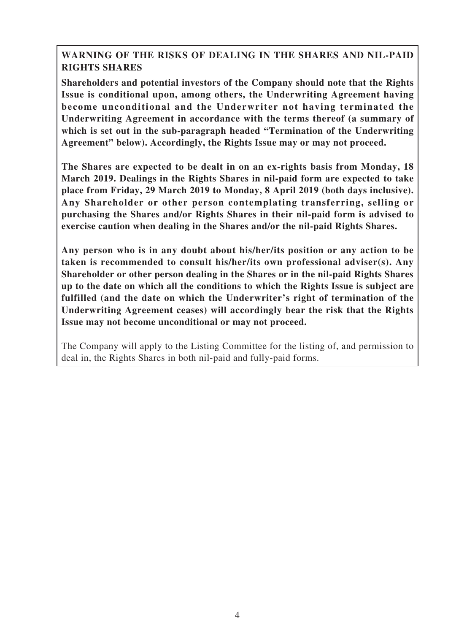# **WARNING OF THE RISKS OF DEALING IN THE SHARES AND NIL-PAID RIGHTS SHARES**

**Shareholders and potential investors of the Company should note that the Rights Issue is conditional upon, among others, the Underwriting Agreement having become unconditional and the Underwriter not having terminated the Underwriting Agreement in accordance with the terms thereof (a summary of which is set out in the sub-paragraph headed "Termination of the Underwriting Agreement" below). Accordingly, the Rights Issue may or may not proceed.**

**The Shares are expected to be dealt in on an ex-rights basis from Monday, 18 March 2019. Dealings in the Rights Shares in nil-paid form are expected to take place from Friday, 29 March 2019 to Monday, 8 April 2019 (both days inclusive). Any Shareholder or other person contemplating transferring, selling or purchasing the Shares and/or Rights Shares in their nil-paid form is advised to exercise caution when dealing in the Shares and/or the nil-paid Rights Shares.**

**Any person who is in any doubt about his/her/its position or any action to be taken is recommended to consult his/her/its own professional adviser(s). Any Shareholder or other person dealing in the Shares or in the nil-paid Rights Shares up to the date on which all the conditions to which the Rights Issue is subject are fulfilled (and the date on which the Underwriter's right of termination of the Underwriting Agreement ceases) will accordingly bear the risk that the Rights Issue may not become unconditional or may not proceed.**

The Company will apply to the Listing Committee for the listing of, and permission to deal in, the Rights Shares in both nil-paid and fully-paid forms.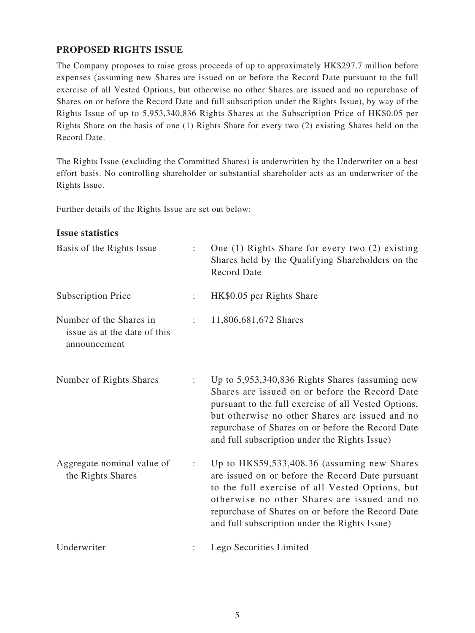# **PROPOSED RIGHTS ISSUE**

The Company proposes to raise gross proceeds of up to approximately HK\$297.7 million before expenses (assuming new Shares are issued on or before the Record Date pursuant to the full exercise of all Vested Options, but otherwise no other Shares are issued and no repurchase of Shares on or before the Record Date and full subscription under the Rights Issue), by way of the Rights Issue of up to 5,953,340,836 Rights Shares at the Subscription Price of HK\$0.05 per Rights Share on the basis of one (1) Rights Share for every two (2) existing Shares held on the Record Date.

The Rights Issue (excluding the Committed Shares) is underwritten by the Underwriter on a best effort basis. No controlling shareholder or substantial shareholder acts as an underwriter of the Rights Issue.

Further details of the Rights Issue are set out below:

#### **Issue statistics**

| Basis of the Rights Issue                                               |                | One $(1)$ Rights Share for every two $(2)$ existing<br>Shares held by the Qualifying Shareholders on the<br><b>Record Date</b>                                                                                                                                                                                     |
|-------------------------------------------------------------------------|----------------|--------------------------------------------------------------------------------------------------------------------------------------------------------------------------------------------------------------------------------------------------------------------------------------------------------------------|
| <b>Subscription Price</b>                                               | $\ddot{\cdot}$ | HK\$0.05 per Rights Share                                                                                                                                                                                                                                                                                          |
| Number of the Shares in<br>issue as at the date of this<br>announcement | ÷              | 11,806,681,672 Shares                                                                                                                                                                                                                                                                                              |
| Number of Rights Shares                                                 | ÷              | Up to 5,953,340,836 Rights Shares (assuming new<br>Shares are issued on or before the Record Date<br>pursuant to the full exercise of all Vested Options,<br>but otherwise no other Shares are issued and no<br>repurchase of Shares on or before the Record Date<br>and full subscription under the Rights Issue) |
| Aggregate nominal value of<br>the Rights Shares                         | ÷              | Up to $HK$59,533,408.36$ (assuming new Shares)<br>are issued on or before the Record Date pursuant<br>to the full exercise of all Vested Options, but<br>otherwise no other Shares are issued and no<br>repurchase of Shares on or before the Record Date<br>and full subscription under the Rights Issue)         |
| Underwriter                                                             |                | Lego Securities Limited                                                                                                                                                                                                                                                                                            |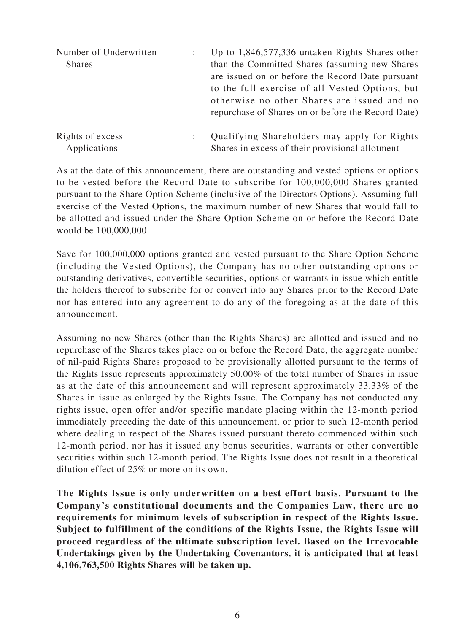| Number of Underwritten           | Up to $1,846,577,336$ untaken Rights Shares other                                                                                                                                                                                                           |
|----------------------------------|-------------------------------------------------------------------------------------------------------------------------------------------------------------------------------------------------------------------------------------------------------------|
| <b>Shares</b>                    | than the Committed Shares (assuming new Shares)<br>are issued on or before the Record Date pursuant<br>to the full exercise of all Vested Options, but<br>otherwise no other Shares are issued and no<br>repurchase of Shares on or before the Record Date) |
| Rights of excess<br>Applications | Qualifying Shareholders may apply for Rights<br>Shares in excess of their provisional allotment                                                                                                                                                             |

As at the date of this announcement, there are outstanding and vested options or options to be vested before the Record Date to subscribe for 100,000,000 Shares granted pursuant to the Share Option Scheme (inclusive of the Directors Options). Assuming full exercise of the Vested Options, the maximum number of new Shares that would fall to be allotted and issued under the Share Option Scheme on or before the Record Date would be 100,000,000.

Save for 100,000,000 options granted and vested pursuant to the Share Option Scheme (including the Vested Options), the Company has no other outstanding options or outstanding derivatives, convertible securities, options or warrants in issue which entitle the holders thereof to subscribe for or convert into any Shares prior to the Record Date nor has entered into any agreement to do any of the foregoing as at the date of this announcement.

Assuming no new Shares (other than the Rights Shares) are allotted and issued and no repurchase of the Shares takes place on or before the Record Date, the aggregate number of nil-paid Rights Shares proposed to be provisionally allotted pursuant to the terms of the Rights Issue represents approximately 50.00% of the total number of Shares in issue as at the date of this announcement and will represent approximately 33.33% of the Shares in issue as enlarged by the Rights Issue. The Company has not conducted any rights issue, open offer and/or specific mandate placing within the 12-month period immediately preceding the date of this announcement, or prior to such 12-month period where dealing in respect of the Shares issued pursuant thereto commenced within such 12-month period, nor has it issued any bonus securities, warrants or other convertible securities within such 12-month period. The Rights Issue does not result in a theoretical dilution effect of 25% or more on its own.

**The Rights Issue is only underwritten on a best effort basis. Pursuant to the Company's constitutional documents and the Companies Law, there are no requirements for minimum levels of subscription in respect of the Rights Issue. Subject to fulfillment of the conditions of the Rights Issue, the Rights Issue will proceed regardless of the ultimate subscription level. Based on the Irrevocable Undertakings given by the Undertaking Covenantors, it is anticipated that at least 4,106,763,500 Rights Shares will be taken up.**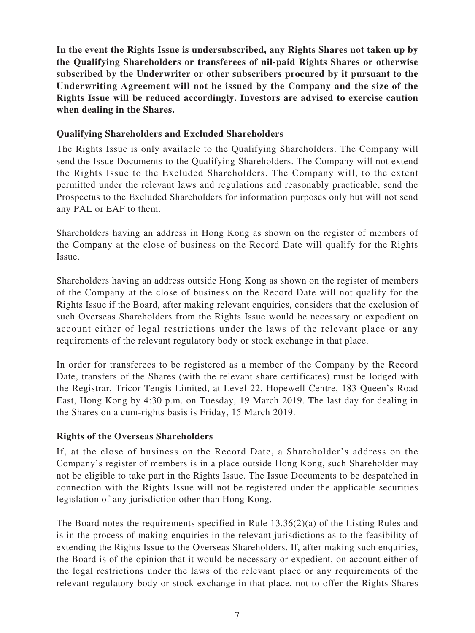**In the event the Rights Issue is undersubscribed, any Rights Shares not taken up by the Qualifying Shareholders or transferees of nil-paid Rights Shares or otherwise subscribed by the Underwriter or other subscribers procured by it pursuant to the Underwriting Agreement will not be issued by the Company and the size of the Rights Issue will be reduced accordingly. Investors are advised to exercise caution when dealing in the Shares.**

### **Qualifying Shareholders and Excluded Shareholders**

The Rights Issue is only available to the Qualifying Shareholders. The Company will send the Issue Documents to the Qualifying Shareholders. The Company will not extend the Rights Issue to the Excluded Shareholders. The Company will, to the extent permitted under the relevant laws and regulations and reasonably practicable, send the Prospectus to the Excluded Shareholders for information purposes only but will not send any PAL or EAF to them.

Shareholders having an address in Hong Kong as shown on the register of members of the Company at the close of business on the Record Date will qualify for the Rights Issue.

Shareholders having an address outside Hong Kong as shown on the register of members of the Company at the close of business on the Record Date will not qualify for the Rights Issue if the Board, after making relevant enquiries, considers that the exclusion of such Overseas Shareholders from the Rights Issue would be necessary or expedient on account either of legal restrictions under the laws of the relevant place or any requirements of the relevant regulatory body or stock exchange in that place.

In order for transferees to be registered as a member of the Company by the Record Date, transfers of the Shares (with the relevant share certificates) must be lodged with the Registrar, Tricor Tengis Limited, at Level 22, Hopewell Centre, 183 Queen's Road East, Hong Kong by 4:30 p.m. on Tuesday, 19 March 2019. The last day for dealing in the Shares on a cum-rights basis is Friday, 15 March 2019.

# **Rights of the Overseas Shareholders**

If, at the close of business on the Record Date, a Shareholder's address on the Company's register of members is in a place outside Hong Kong, such Shareholder may not be eligible to take part in the Rights Issue. The Issue Documents to be despatched in connection with the Rights Issue will not be registered under the applicable securities legislation of any jurisdiction other than Hong Kong.

The Board notes the requirements specified in Rule  $13.36(2)(a)$  of the Listing Rules and is in the process of making enquiries in the relevant jurisdictions as to the feasibility of extending the Rights Issue to the Overseas Shareholders. If, after making such enquiries, the Board is of the opinion that it would be necessary or expedient, on account either of the legal restrictions under the laws of the relevant place or any requirements of the relevant regulatory body or stock exchange in that place, not to offer the Rights Shares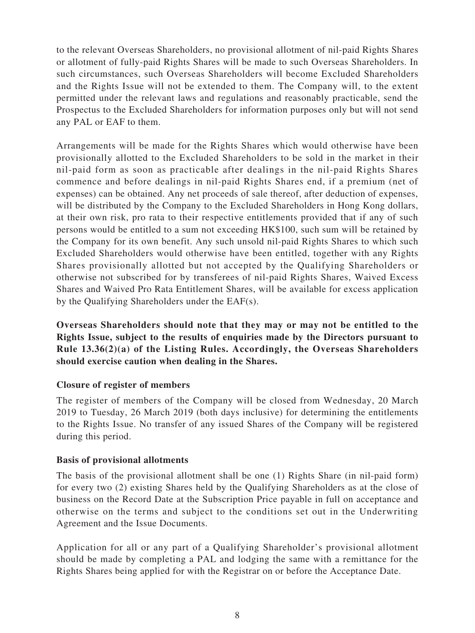to the relevant Overseas Shareholders, no provisional allotment of nil-paid Rights Shares or allotment of fully-paid Rights Shares will be made to such Overseas Shareholders. In such circumstances, such Overseas Shareholders will become Excluded Shareholders and the Rights Issue will not be extended to them. The Company will, to the extent permitted under the relevant laws and regulations and reasonably practicable, send the Prospectus to the Excluded Shareholders for information purposes only but will not send any PAL or EAF to them.

Arrangements will be made for the Rights Shares which would otherwise have been provisionally allotted to the Excluded Shareholders to be sold in the market in their nil-paid form as soon as practicable after dealings in the nil-paid Rights Shares commence and before dealings in nil-paid Rights Shares end, if a premium (net of expenses) can be obtained. Any net proceeds of sale thereof, after deduction of expenses, will be distributed by the Company to the Excluded Shareholders in Hong Kong dollars, at their own risk, pro rata to their respective entitlements provided that if any of such persons would be entitled to a sum not exceeding HK\$100, such sum will be retained by the Company for its own benefit. Any such unsold nil-paid Rights Shares to which such Excluded Shareholders would otherwise have been entitled, together with any Rights Shares provisionally allotted but not accepted by the Qualifying Shareholders or otherwise not subscribed for by transferees of nil-paid Rights Shares, Waived Excess Shares and Waived Pro Rata Entitlement Shares, will be available for excess application by the Qualifying Shareholders under the EAF(s).

**Overseas Shareholders should note that they may or may not be entitled to the Rights Issue, subject to the results of enquiries made by the Directors pursuant to Rule 13.36(2)(a) of the Listing Rules. Accordingly, the Overseas Shareholders should exercise caution when dealing in the Shares.**

# **Closure of register of members**

The register of members of the Company will be closed from Wednesday, 20 March 2019 to Tuesday, 26 March 2019 (both days inclusive) for determining the entitlements to the Rights Issue. No transfer of any issued Shares of the Company will be registered during this period.

# **Basis of provisional allotments**

The basis of the provisional allotment shall be one (1) Rights Share (in nil-paid form) for every two (2) existing Shares held by the Qualifying Shareholders as at the close of business on the Record Date at the Subscription Price payable in full on acceptance and otherwise on the terms and subject to the conditions set out in the Underwriting Agreement and the Issue Documents.

Application for all or any part of a Qualifying Shareholder's provisional allotment should be made by completing a PAL and lodging the same with a remittance for the Rights Shares being applied for with the Registrar on or before the Acceptance Date.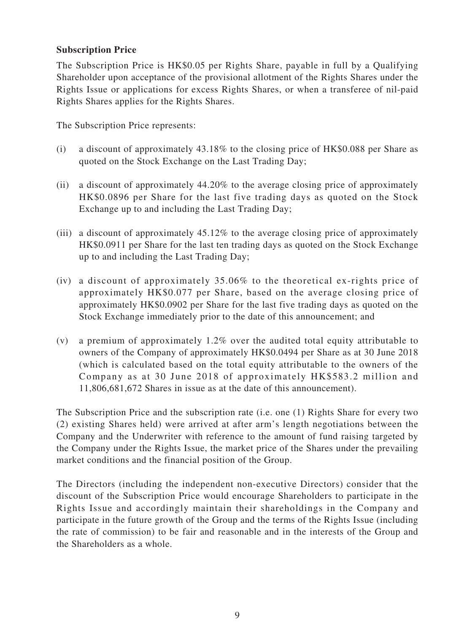## **Subscription Price**

The Subscription Price is HK\$0.05 per Rights Share, payable in full by a Qualifying Shareholder upon acceptance of the provisional allotment of the Rights Shares under the Rights Issue or applications for excess Rights Shares, or when a transferee of nil-paid Rights Shares applies for the Rights Shares.

The Subscription Price represents:

- (i) a discount of approximately 43.18% to the closing price of HK\$0.088 per Share as quoted on the Stock Exchange on the Last Trading Day;
- (ii) a discount of approximately 44.20% to the average closing price of approximately HK\$0.0896 per Share for the last five trading days as quoted on the Stock Exchange up to and including the Last Trading Day;
- (iii) a discount of approximately 45.12% to the average closing price of approximately HK\$0.0911 per Share for the last ten trading days as quoted on the Stock Exchange up to and including the Last Trading Day;
- (iv) a discount of approximately 35.06% to the theoretical ex-rights price of approximately HK\$0.077 per Share, based on the average closing price of approximately HK\$0.0902 per Share for the last five trading days as quoted on the Stock Exchange immediately prior to the date of this announcement; and
- (v) a premium of approximately 1.2% over the audited total equity attributable to owners of the Company of approximately HK\$0.0494 per Share as at 30 June 2018 (which is calculated based on the total equity attributable to the owners of the Company as at 30 June 2018 of approximately HK\$583.2 million and 11,806,681,672 Shares in issue as at the date of this announcement).

The Subscription Price and the subscription rate (i.e. one (1) Rights Share for every two (2) existing Shares held) were arrived at after arm's length negotiations between the Company and the Underwriter with reference to the amount of fund raising targeted by the Company under the Rights Issue, the market price of the Shares under the prevailing market conditions and the financial position of the Group.

The Directors (including the independent non-executive Directors) consider that the discount of the Subscription Price would encourage Shareholders to participate in the Rights Issue and accordingly maintain their shareholdings in the Company and participate in the future growth of the Group and the terms of the Rights Issue (including the rate of commission) to be fair and reasonable and in the interests of the Group and the Shareholders as a whole.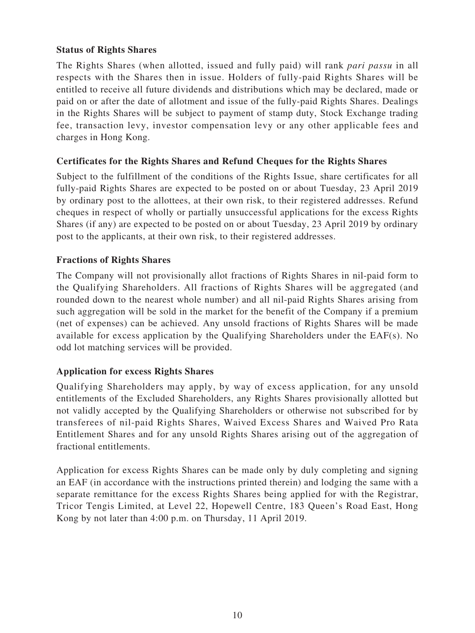# **Status of Rights Shares**

The Rights Shares (when allotted, issued and fully paid) will rank *pari passu* in all respects with the Shares then in issue. Holders of fully-paid Rights Shares will be entitled to receive all future dividends and distributions which may be declared, made or paid on or after the date of allotment and issue of the fully-paid Rights Shares. Dealings in the Rights Shares will be subject to payment of stamp duty, Stock Exchange trading fee, transaction levy, investor compensation levy or any other applicable fees and charges in Hong Kong.

# **Certificates for the Rights Shares and Refund Cheques for the Rights Shares**

Subject to the fulfillment of the conditions of the Rights Issue, share certificates for all fully-paid Rights Shares are expected to be posted on or about Tuesday, 23 April 2019 by ordinary post to the allottees, at their own risk, to their registered addresses. Refund cheques in respect of wholly or partially unsuccessful applications for the excess Rights Shares (if any) are expected to be posted on or about Tuesday, 23 April 2019 by ordinary post to the applicants, at their own risk, to their registered addresses.

# **Fractions of Rights Shares**

The Company will not provisionally allot fractions of Rights Shares in nil-paid form to the Qualifying Shareholders. All fractions of Rights Shares will be aggregated (and rounded down to the nearest whole number) and all nil-paid Rights Shares arising from such aggregation will be sold in the market for the benefit of the Company if a premium (net of expenses) can be achieved. Any unsold fractions of Rights Shares will be made available for excess application by the Qualifying Shareholders under the  $EAF(s)$ . No odd lot matching services will be provided.

# **Application for excess Rights Shares**

Qualifying Shareholders may apply, by way of excess application, for any unsold entitlements of the Excluded Shareholders, any Rights Shares provisionally allotted but not validly accepted by the Qualifying Shareholders or otherwise not subscribed for by transferees of nil-paid Rights Shares, Waived Excess Shares and Waived Pro Rata Entitlement Shares and for any unsold Rights Shares arising out of the aggregation of fractional entitlements.

Application for excess Rights Shares can be made only by duly completing and signing an EAF (in accordance with the instructions printed therein) and lodging the same with a separate remittance for the excess Rights Shares being applied for with the Registrar, Tricor Tengis Limited, at Level 22, Hopewell Centre, 183 Queen's Road East, Hong Kong by not later than 4:00 p.m. on Thursday, 11 April 2019.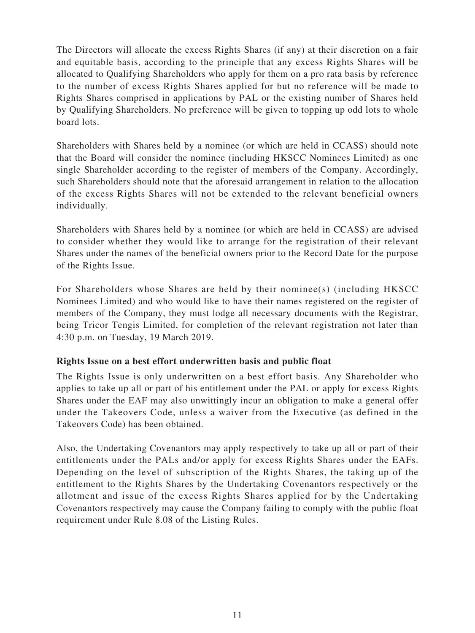The Directors will allocate the excess Rights Shares (if any) at their discretion on a fair and equitable basis, according to the principle that any excess Rights Shares will be allocated to Qualifying Shareholders who apply for them on a pro rata basis by reference to the number of excess Rights Shares applied for but no reference will be made to Rights Shares comprised in applications by PAL or the existing number of Shares held by Qualifying Shareholders. No preference will be given to topping up odd lots to whole board lots.

Shareholders with Shares held by a nominee (or which are held in CCASS) should note that the Board will consider the nominee (including HKSCC Nominees Limited) as one single Shareholder according to the register of members of the Company. Accordingly, such Shareholders should note that the aforesaid arrangement in relation to the allocation of the excess Rights Shares will not be extended to the relevant beneficial owners individually.

Shareholders with Shares held by a nominee (or which are held in CCASS) are advised to consider whether they would like to arrange for the registration of their relevant Shares under the names of the beneficial owners prior to the Record Date for the purpose of the Rights Issue.

For Shareholders whose Shares are held by their nominee(s) (including HKSCC Nominees Limited) and who would like to have their names registered on the register of members of the Company, they must lodge all necessary documents with the Registrar, being Tricor Tengis Limited, for completion of the relevant registration not later than 4:30 p.m. on Tuesday, 19 March 2019.

# **Rights Issue on a best effort underwritten basis and public float**

The Rights Issue is only underwritten on a best effort basis. Any Shareholder who applies to take up all or part of his entitlement under the PAL or apply for excess Rights Shares under the EAF may also unwittingly incur an obligation to make a general offer under the Takeovers Code, unless a waiver from the Executive (as defined in the Takeovers Code) has been obtained.

Also, the Undertaking Covenantors may apply respectively to take up all or part of their entitlements under the PALs and/or apply for excess Rights Shares under the EAFs. Depending on the level of subscription of the Rights Shares, the taking up of the entitlement to the Rights Shares by the Undertaking Covenantors respectively or the allotment and issue of the excess Rights Shares applied for by the Undertaking Covenantors respectively may cause the Company failing to comply with the public float requirement under Rule 8.08 of the Listing Rules.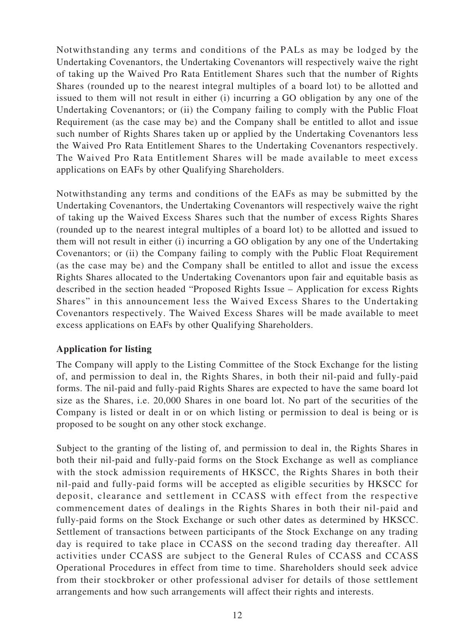Notwithstanding any terms and conditions of the PALs as may be lodged by the Undertaking Covenantors, the Undertaking Covenantors will respectively waive the right of taking up the Waived Pro Rata Entitlement Shares such that the number of Rights Shares (rounded up to the nearest integral multiples of a board lot) to be allotted and issued to them will not result in either (i) incurring a GO obligation by any one of the Undertaking Covenantors; or (ii) the Company failing to comply with the Public Float Requirement (as the case may be) and the Company shall be entitled to allot and issue such number of Rights Shares taken up or applied by the Undertaking Covenantors less the Waived Pro Rata Entitlement Shares to the Undertaking Covenantors respectively. The Waived Pro Rata Entitlement Shares will be made available to meet excess applications on EAFs by other Qualifying Shareholders.

Notwithstanding any terms and conditions of the EAFs as may be submitted by the Undertaking Covenantors, the Undertaking Covenantors will respectively waive the right of taking up the Waived Excess Shares such that the number of excess Rights Shares (rounded up to the nearest integral multiples of a board lot) to be allotted and issued to them will not result in either (i) incurring a GO obligation by any one of the Undertaking Covenantors; or (ii) the Company failing to comply with the Public Float Requirement (as the case may be) and the Company shall be entitled to allot and issue the excess Rights Shares allocated to the Undertaking Covenantors upon fair and equitable basis as described in the section headed "Proposed Rights Issue – Application for excess Rights Shares" in this announcement less the Waived Excess Shares to the Undertaking Covenantors respectively. The Waived Excess Shares will be made available to meet excess applications on EAFs by other Qualifying Shareholders.

#### **Application for listing**

The Company will apply to the Listing Committee of the Stock Exchange for the listing of, and permission to deal in, the Rights Shares, in both their nil-paid and fully-paid forms. The nil-paid and fully-paid Rights Shares are expected to have the same board lot size as the Shares, i.e. 20,000 Shares in one board lot. No part of the securities of the Company is listed or dealt in or on which listing or permission to deal is being or is proposed to be sought on any other stock exchange.

Subject to the granting of the listing of, and permission to deal in, the Rights Shares in both their nil-paid and fully-paid forms on the Stock Exchange as well as compliance with the stock admission requirements of HKSCC, the Rights Shares in both their nil-paid and fully-paid forms will be accepted as eligible securities by HKSCC for deposit, clearance and settlement in CCASS with effect from the respective commencement dates of dealings in the Rights Shares in both their nil-paid and fully-paid forms on the Stock Exchange or such other dates as determined by HKSCC. Settlement of transactions between participants of the Stock Exchange on any trading day is required to take place in CCASS on the second trading day thereafter. All activities under CCASS are subject to the General Rules of CCASS and CCASS Operational Procedures in effect from time to time. Shareholders should seek advice from their stockbroker or other professional adviser for details of those settlement arrangements and how such arrangements will affect their rights and interests.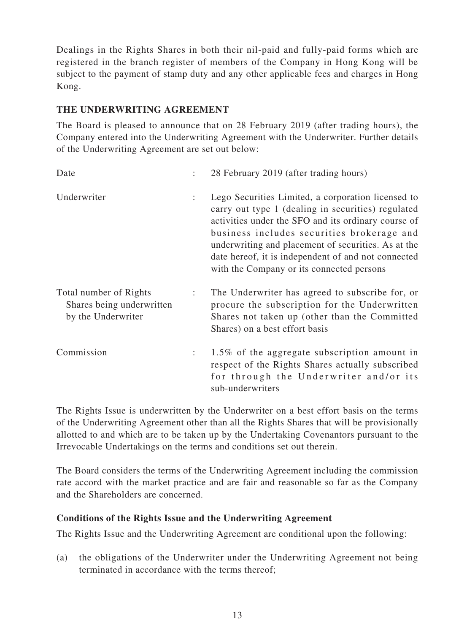Dealings in the Rights Shares in both their nil-paid and fully-paid forms which are registered in the branch register of members of the Company in Hong Kong will be subject to the payment of stamp duty and any other applicable fees and charges in Hong Kong.

# **THE UNDERWRITING AGREEMENT**

The Board is pleased to announce that on 28 February 2019 (after trading hours), the Company entered into the Underwriting Agreement with the Underwriter. Further details of the Underwriting Agreement are set out below:

| Date                                                                      |                | 28 February 2019 (after trading hours)                                                                                                                                                                                                                                                                                                                                   |
|---------------------------------------------------------------------------|----------------|--------------------------------------------------------------------------------------------------------------------------------------------------------------------------------------------------------------------------------------------------------------------------------------------------------------------------------------------------------------------------|
| Underwriter                                                               | ÷              | Lego Securities Limited, a corporation licensed to<br>carry out type 1 (dealing in securities) regulated<br>activities under the SFO and its ordinary course of<br>business includes securities brokerage and<br>underwriting and placement of securities. As at the<br>date hereof, it is independent of and not connected<br>with the Company or its connected persons |
| Total number of Rights<br>Shares being underwritten<br>by the Underwriter | $\ddot{\cdot}$ | The Underwriter has agreed to subscribe for, or<br>procure the subscription for the Underwritten<br>Shares not taken up (other than the Committed<br>Shares) on a best effort basis                                                                                                                                                                                      |
| Commission                                                                |                | 1.5% of the aggregate subscription amount in<br>respect of the Rights Shares actually subscribed<br>for through the Underwriter and/or its<br>sub-underwriters                                                                                                                                                                                                           |

The Rights Issue is underwritten by the Underwriter on a best effort basis on the terms of the Underwriting Agreement other than all the Rights Shares that will be provisionally allotted to and which are to be taken up by the Undertaking Covenantors pursuant to the Irrevocable Undertakings on the terms and conditions set out therein.

The Board considers the terms of the Underwriting Agreement including the commission rate accord with the market practice and are fair and reasonable so far as the Company and the Shareholders are concerned.

# **Conditions of the Rights Issue and the Underwriting Agreement**

The Rights Issue and the Underwriting Agreement are conditional upon the following:

(a) the obligations of the Underwriter under the Underwriting Agreement not being terminated in accordance with the terms thereof;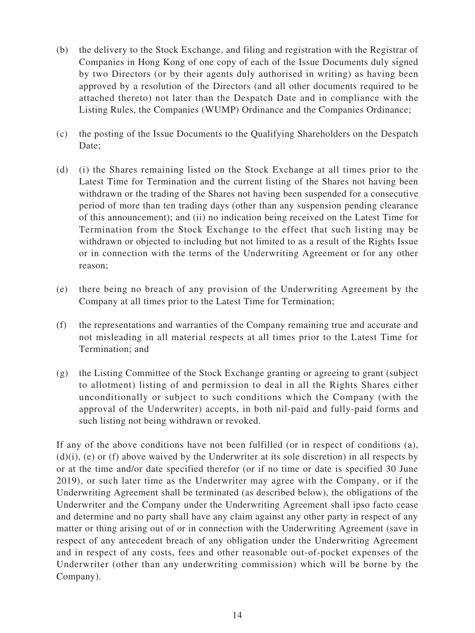- (b) the delivery to the Stock Exchange, and filing and registration with the Registrar of Companies in Hong Kong of one copy of each of the Issue Documents duly signed by two Directors (or by their agents duly authorised in writing) as having been approved by a resolution of the Directors (and all other documents required to be attached thereto) not later than the Despatch Date and in compliance with the Listing Rules, the Companies (WUMP) Ordinance and the Companies Ordinance;
- (c) the posting of the Issue Documents to the Qualifying Shareholders on the Despatch Date:
- (d) (i) the Shares remaining listed on the Stock Exchange at all times prior to the Latest Time for Termination and the current listing of the Shares not having been withdrawn or the trading of the Shares not having been suspended for a consecutive period of more than ten trading days (other than any suspension pending clearance of this announcement); and (ii) no indication being received on the Latest Time for Termination from the Stock Exchange to the effect that such listing may be withdrawn or objected to including but not limited to as a result of the Rights Issue or in connection with the terms of the Underwriting Agreement or for any other reason;
- (e) there being no breach of any provision of the Underwriting Agreement by the Company at all times prior to the Latest Time for Termination;
- (f) the representations and warranties of the Company remaining true and accurate and not misleading in all material respects at all times prior to the Latest Time for Termination; and
- (g) the Listing Committee of the Stock Exchange granting or agreeing to grant (subject to allotment) listing of and permission to deal in all the Rights Shares either unconditionally or subject to such conditions which the Company (with the approval of the Underwriter) accepts, in both nil-paid and fully-paid forms and such listing not being withdrawn or revoked.

If any of the above conditions have not been fulfilled (or in respect of conditions (a), (d)(i), (e) or (f) above waived by the Underwriter at its sole discretion) in all respects by or at the time and/or date specified therefor (or if no time or date is specified 30 June 2019), or such later time as the Underwriter may agree with the Company, or if the Underwriting Agreement shall be terminated (as described below), the obligations of the Underwriter and the Company under the Underwriting Agreement shall ipso facto cease and determine and no party shall have any claim against any other party in respect of any matter or thing arising out of or in connection with the Underwriting Agreement (save in respect of any antecedent breach of any obligation under the Underwriting Agreement and in respect of any costs, fees and other reasonable out-of-pocket expenses of the Underwriter (other than any underwriting commission) which will be borne by the Company).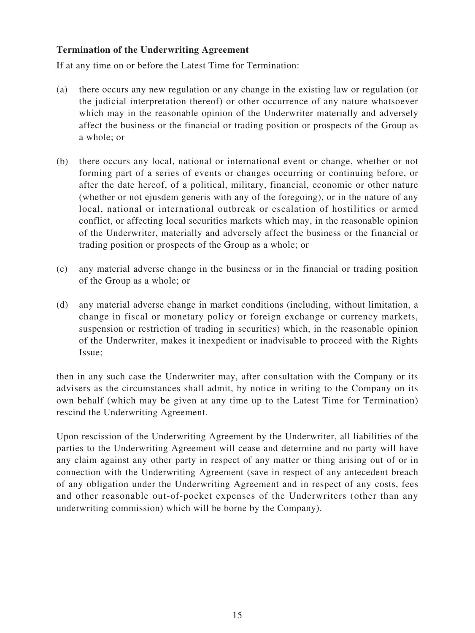# **Termination of the Underwriting Agreement**

If at any time on or before the Latest Time for Termination:

- (a) there occurs any new regulation or any change in the existing law or regulation (or the judicial interpretation thereof) or other occurrence of any nature whatsoever which may in the reasonable opinion of the Underwriter materially and adversely affect the business or the financial or trading position or prospects of the Group as a whole; or
- (b) there occurs any local, national or international event or change, whether or not forming part of a series of events or changes occurring or continuing before, or after the date hereof, of a political, military, financial, economic or other nature (whether or not ejusdem generis with any of the foregoing), or in the nature of any local, national or international outbreak or escalation of hostilities or armed conflict, or affecting local securities markets which may, in the reasonable opinion of the Underwriter, materially and adversely affect the business or the financial or trading position or prospects of the Group as a whole; or
- (c) any material adverse change in the business or in the financial or trading position of the Group as a whole; or
- (d) any material adverse change in market conditions (including, without limitation, a change in fiscal or monetary policy or foreign exchange or currency markets, suspension or restriction of trading in securities) which, in the reasonable opinion of the Underwriter, makes it inexpedient or inadvisable to proceed with the Rights Issue;

then in any such case the Underwriter may, after consultation with the Company or its advisers as the circumstances shall admit, by notice in writing to the Company on its own behalf (which may be given at any time up to the Latest Time for Termination) rescind the Underwriting Agreement.

Upon rescission of the Underwriting Agreement by the Underwriter, all liabilities of the parties to the Underwriting Agreement will cease and determine and no party will have any claim against any other party in respect of any matter or thing arising out of or in connection with the Underwriting Agreement (save in respect of any antecedent breach of any obligation under the Underwriting Agreement and in respect of any costs, fees and other reasonable out-of-pocket expenses of the Underwriters (other than any underwriting commission) which will be borne by the Company).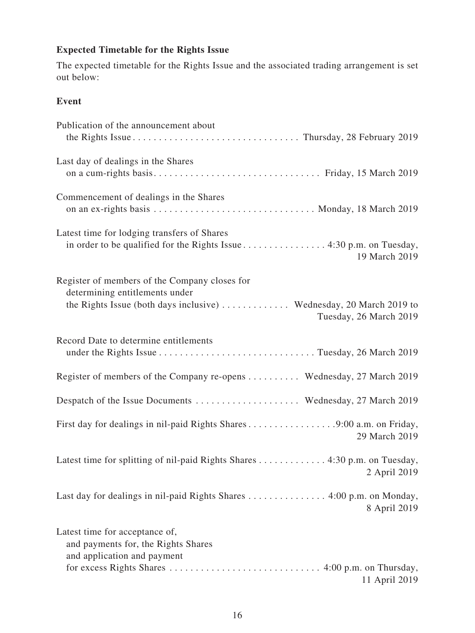# **Expected Timetable for the Rights Issue**

The expected timetable for the Rights Issue and the associated trading arrangement is set out below:

# **Event**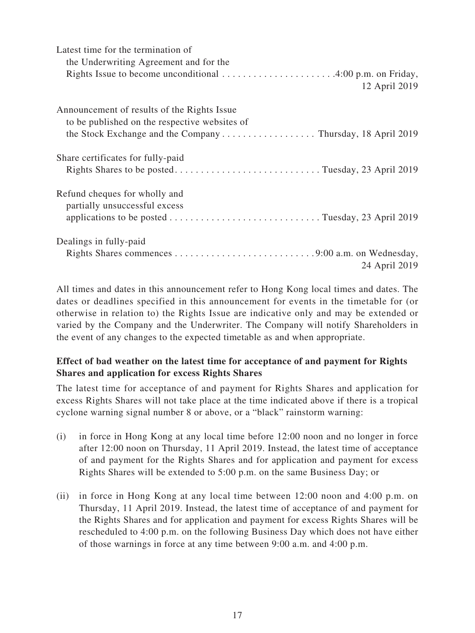| Latest time for the termination of               |
|--------------------------------------------------|
| the Underwriting Agreement and for the           |
|                                                  |
| 12 April 2019                                    |
| Announcement of results of the Rights Issue      |
| to be published on the respective websites of    |
|                                                  |
| Share certificates for fully-paid                |
| Rights Shares to be postedTuesday, 23 April 2019 |
| Refund cheques for wholly and                    |
| partially unsuccessful excess                    |
|                                                  |
| Dealings in fully-paid                           |
|                                                  |
| 24 April 2019                                    |

All times and dates in this announcement refer to Hong Kong local times and dates. The dates or deadlines specified in this announcement for events in the timetable for (or otherwise in relation to) the Rights Issue are indicative only and may be extended or varied by the Company and the Underwriter. The Company will notify Shareholders in the event of any changes to the expected timetable as and when appropriate.

# **Effect of bad weather on the latest time for acceptance of and payment for Rights Shares and application for excess Rights Shares**

The latest time for acceptance of and payment for Rights Shares and application for excess Rights Shares will not take place at the time indicated above if there is a tropical cyclone warning signal number 8 or above, or a "black" rainstorm warning:

- (i) in force in Hong Kong at any local time before 12:00 noon and no longer in force after 12:00 noon on Thursday, 11 April 2019. Instead, the latest time of acceptance of and payment for the Rights Shares and for application and payment for excess Rights Shares will be extended to 5:00 p.m. on the same Business Day; or
- (ii) in force in Hong Kong at any local time between 12:00 noon and 4:00 p.m. on Thursday, 11 April 2019. Instead, the latest time of acceptance of and payment for the Rights Shares and for application and payment for excess Rights Shares will be rescheduled to 4:00 p.m. on the following Business Day which does not have either of those warnings in force at any time between 9:00 a.m. and 4:00 p.m.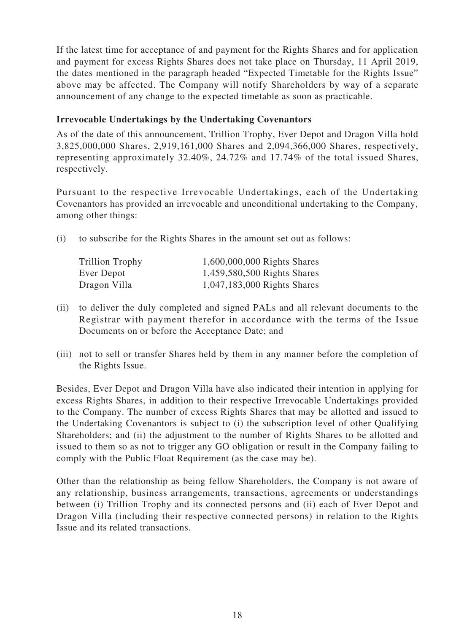If the latest time for acceptance of and payment for the Rights Shares and for application and payment for excess Rights Shares does not take place on Thursday, 11 April 2019, the dates mentioned in the paragraph headed "Expected Timetable for the Rights Issue" above may be affected. The Company will notify Shareholders by way of a separate announcement of any change to the expected timetable as soon as practicable.

# **Irrevocable Undertakings by the Undertaking Covenantors**

As of the date of this announcement, Trillion Trophy, Ever Depot and Dragon Villa hold 3,825,000,000 Shares, 2,919,161,000 Shares and 2,094,366,000 Shares, respectively, representing approximately 32.40%, 24.72% and 17.74% of the total issued Shares, respectively.

Pursuant to the respective Irrevocable Undertakings, each of the Undertaking Covenantors has provided an irrevocable and unconditional undertaking to the Company, among other things:

(i) to subscribe for the Rights Shares in the amount set out as follows:

| Trillion Trophy | 1,600,000,000 Rights Shares |
|-----------------|-----------------------------|
| Ever Depot      | 1,459,580,500 Rights Shares |
| Dragon Villa    | 1,047,183,000 Rights Shares |

- (ii) to deliver the duly completed and signed PALs and all relevant documents to the Registrar with payment therefor in accordance with the terms of the Issue Documents on or before the Acceptance Date; and
- (iii) not to sell or transfer Shares held by them in any manner before the completion of the Rights Issue.

Besides, Ever Depot and Dragon Villa have also indicated their intention in applying for excess Rights Shares, in addition to their respective Irrevocable Undertakings provided to the Company. The number of excess Rights Shares that may be allotted and issued to the Undertaking Covenantors is subject to (i) the subscription level of other Qualifying Shareholders; and (ii) the adjustment to the number of Rights Shares to be allotted and issued to them so as not to trigger any GO obligation or result in the Company failing to comply with the Public Float Requirement (as the case may be).

Other than the relationship as being fellow Shareholders, the Company is not aware of any relationship, business arrangements, transactions, agreements or understandings between (i) Trillion Trophy and its connected persons and (ii) each of Ever Depot and Dragon Villa (including their respective connected persons) in relation to the Rights Issue and its related transactions.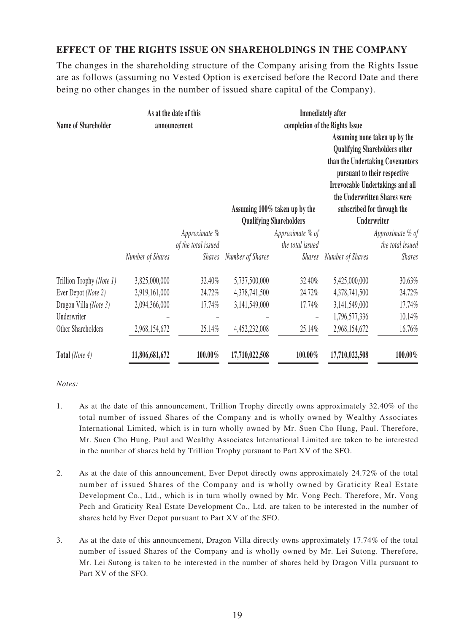# **EFFECT OF THE RIGHTS ISSUE ON SHAREHOLDINGS IN THE COMPANY**

The changes in the shareholding structure of the Company arising from the Rights Issue are as follows (assuming no Vested Option is exercised before the Record Date and there being no other changes in the number of issued share capital of the Company).

| Name of Shareholder      | As at the date of this<br>announcement |                                      | <b>Immediately</b> after<br>completion of the Rights Issue |                                      |                  |                                                                                                                                                                                                                                                    |
|--------------------------|----------------------------------------|--------------------------------------|------------------------------------------------------------|--------------------------------------|------------------|----------------------------------------------------------------------------------------------------------------------------------------------------------------------------------------------------------------------------------------------------|
|                          |                                        |                                      |                                                            | Assuming 100% taken up by the        |                  | Assuming none taken up by the<br><b>Qualifying Shareholders other</b><br>than the Undertaking Covenantors<br>pursuant to their respective<br><b>Irrevocable Undertakings and all</b><br>the Underwritten Shares were<br>subscribed for through the |
|                          |                                        |                                      |                                                            | <b>Qualifying Shareholders</b>       | Underwriter      |                                                                                                                                                                                                                                                    |
|                          |                                        | Approximate %<br>of the total issued |                                                            | Approximate % of<br>the total issued |                  | Approximate % of<br>the total issued                                                                                                                                                                                                               |
|                          | Number of Shares                       | <b>Shares</b>                        | Number of Shares                                           | <b>Shares</b>                        | Number of Shares | <b>Shares</b>                                                                                                                                                                                                                                      |
| Trillion Trophy (Note 1) | 3,825,000,000                          | 32.40%                               | 5,737,500,000                                              | 32.40%                               | 5,425,000,000    | 30.63%                                                                                                                                                                                                                                             |
| Ever Depot (Note 2)      | 2,919,161,000                          | 24.72%                               | 4,378,741,500                                              | 24.72%                               | 4,378,741,500    | 24.72%                                                                                                                                                                                                                                             |
| Dragon Villa (Note 3)    | 2,094,366,000                          | 17.74%                               | 3,141,549,000                                              | 17.74%                               | 3,141,549,000    | 17.74%                                                                                                                                                                                                                                             |
| Underwriter              |                                        |                                      |                                                            |                                      | 1,796,577,336    | 10.14%                                                                                                                                                                                                                                             |
| Other Shareholders       | 2,968,154,672                          | 25.14%                               | 4,452,232,008                                              | 25.14%                               | 2,968,154,672    | 16.76%                                                                                                                                                                                                                                             |
| Total (Note 4)           | 11,806,681,672                         | 100.00%                              | 17,710,022,508                                             | 100.00%                              | 17,710,022,508   | 100.00%                                                                                                                                                                                                                                            |

#### *Notes:*

- 1. As at the date of this announcement, Trillion Trophy directly owns approximately 32.40% of the total number of issued Shares of the Company and is wholly owned by Wealthy Associates International Limited, which is in turn wholly owned by Mr. Suen Cho Hung, Paul. Therefore, Mr. Suen Cho Hung, Paul and Wealthy Associates International Limited are taken to be interested in the number of shares held by Trillion Trophy pursuant to Part XV of the SFO.
- 2. As at the date of this announcement, Ever Depot directly owns approximately 24.72% of the total number of issued Shares of the Company and is wholly owned by Graticity Real Estate Development Co., Ltd., which is in turn wholly owned by Mr. Vong Pech. Therefore, Mr. Vong Pech and Graticity Real Estate Development Co., Ltd. are taken to be interested in the number of shares held by Ever Depot pursuant to Part XV of the SFO.
- 3. As at the date of this announcement, Dragon Villa directly owns approximately 17.74% of the total number of issued Shares of the Company and is wholly owned by Mr. Lei Sutong. Therefore, Mr. Lei Sutong is taken to be interested in the number of shares held by Dragon Villa pursuant to Part XV of the SFO.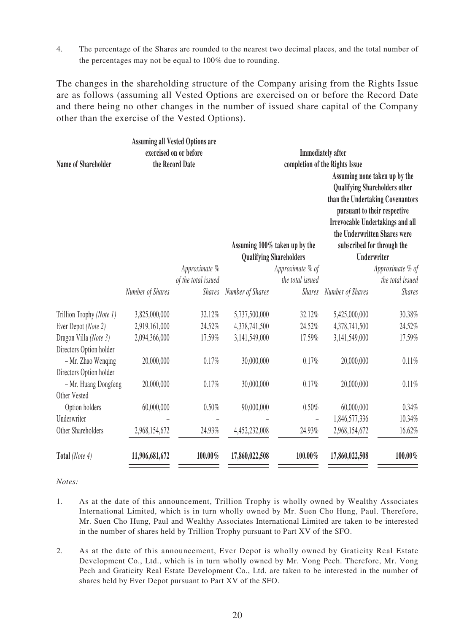4. The percentage of the Shares are rounded to the nearest two decimal places, and the total number of the percentages may not be equal to 100% due to rounding.

The changes in the shareholding structure of the Company arising from the Rights Issue are as follows (assuming all Vested Options are exercised on or before the Record Date and there being no other changes in the number of issued share capital of the Company other than the exercise of the Vested Options).

|                            |                  | <b>Assuming all Vested Options are</b><br>exercised on or before |                                                            |                                                                 |                                                                                                                                                                                                                                                                   |                  |
|----------------------------|------------------|------------------------------------------------------------------|------------------------------------------------------------|-----------------------------------------------------------------|-------------------------------------------------------------------------------------------------------------------------------------------------------------------------------------------------------------------------------------------------------------------|------------------|
| <b>Name of Shareholder</b> | the Record Date  |                                                                  | <b>Immediately</b> after<br>completion of the Rights Issue |                                                                 |                                                                                                                                                                                                                                                                   |                  |
|                            |                  |                                                                  |                                                            | Assuming 100% taken up by the<br><b>Qualifying Shareholders</b> | Assuming none taken up by the<br><b>Qualifying Shareholders other</b><br>than the Undertaking Covenantors<br>pursuant to their respective<br><b>Irrevocable Undertakings and all</b><br>the Underwritten Shares were<br>subscribed for through the<br>Underwriter |                  |
|                            |                  | Approximate %                                                    |                                                            | Approximate % of                                                |                                                                                                                                                                                                                                                                   | Approximate % of |
|                            |                  | of the total issued                                              |                                                            | the total issued                                                |                                                                                                                                                                                                                                                                   | the total issued |
|                            | Number of Shares | <b>Shares</b>                                                    | Number of Shares                                           | <b>Shares</b>                                                   | Number of Shares                                                                                                                                                                                                                                                  | <b>Shares</b>    |
| Trillion Trophy (Note 1)   | 3,825,000,000    | 32.12%                                                           | 5,737,500,000                                              | 32.12%                                                          | 5,425,000,000                                                                                                                                                                                                                                                     | 30.38%           |
| Ever Depot (Note 2)        | 2,919,161,000    | 24.52%                                                           | 4,378,741,500                                              | 24.52%                                                          | 4,378,741,500                                                                                                                                                                                                                                                     | 24.52%           |
| Dragon Villa (Note 3)      | 2,094,366,000    | 17.59%                                                           | 3,141,549,000                                              | 17.59%                                                          | 3,141,549,000                                                                                                                                                                                                                                                     | 17.59%           |
| Directors Option holder    |                  |                                                                  |                                                            |                                                                 |                                                                                                                                                                                                                                                                   |                  |
| - Mr. Zhao Wenqing         | 20,000,000       | 0.17%                                                            | 30,000,000                                                 | 0.17%                                                           | 20,000,000                                                                                                                                                                                                                                                        | 0.11%            |
| Directors Option holder    |                  |                                                                  |                                                            |                                                                 |                                                                                                                                                                                                                                                                   |                  |
| - Mr. Huang Dongfeng       | 20,000,000       | 0.17%                                                            | 30,000,000                                                 | 0.17%                                                           | 20,000,000                                                                                                                                                                                                                                                        | 0.11%            |
| Other Vested               |                  |                                                                  |                                                            |                                                                 |                                                                                                                                                                                                                                                                   |                  |
| Option holders             | 60,000,000       | 0.50%                                                            | 90,000,000                                                 | 0.50%                                                           | 60,000,000                                                                                                                                                                                                                                                        | 0.34%            |
| Underwriter                |                  |                                                                  |                                                            |                                                                 | 1,846,577,336                                                                                                                                                                                                                                                     | 10.34%           |
| Other Shareholders         | 2,968,154,672    | 24.93%                                                           | 4,452,232,008                                              | 24.93%                                                          | 2,968,154,672                                                                                                                                                                                                                                                     | 16.62%           |
| Total (Note 4)             | 11,906,681,672   | 100.00%                                                          | 17,860,022,508                                             | 100.00%                                                         | 17,860,022,508                                                                                                                                                                                                                                                    | 100.00%          |

*Notes:*

- 1. As at the date of this announcement, Trillion Trophy is wholly owned by Wealthy Associates International Limited, which is in turn wholly owned by Mr. Suen Cho Hung, Paul. Therefore, Mr. Suen Cho Hung, Paul and Wealthy Associates International Limited are taken to be interested in the number of shares held by Trillion Trophy pursuant to Part XV of the SFO.
- 2. As at the date of this announcement, Ever Depot is wholly owned by Graticity Real Estate Development Co., Ltd., which is in turn wholly owned by Mr. Vong Pech. Therefore, Mr. Vong Pech and Graticity Real Estate Development Co., Ltd. are taken to be interested in the number of shares held by Ever Depot pursuant to Part XV of the SFO.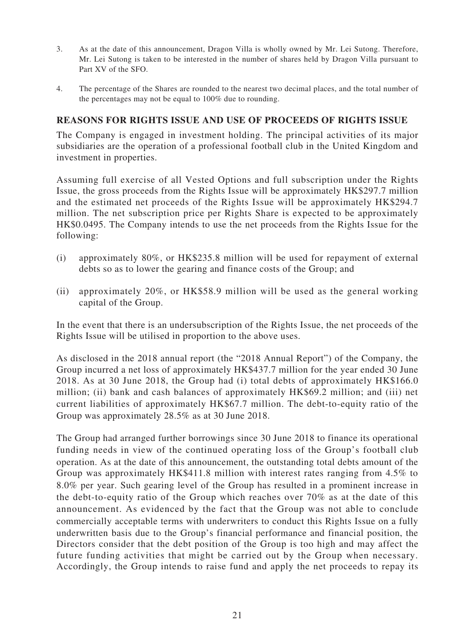- 3. As at the date of this announcement, Dragon Villa is wholly owned by Mr. Lei Sutong. Therefore, Mr. Lei Sutong is taken to be interested in the number of shares held by Dragon Villa pursuant to Part XV of the SFO.
- 4. The percentage of the Shares are rounded to the nearest two decimal places, and the total number of the percentages may not be equal to 100% due to rounding.

# **REASONS FOR RIGHTS ISSUE AND USE OF PROCEEDS OF RIGHTS ISSUE**

The Company is engaged in investment holding. The principal activities of its major subsidiaries are the operation of a professional football club in the United Kingdom and investment in properties.

Assuming full exercise of all Vested Options and full subscription under the Rights Issue, the gross proceeds from the Rights Issue will be approximately HK\$297.7 million and the estimated net proceeds of the Rights Issue will be approximately HK\$294.7 million. The net subscription price per Rights Share is expected to be approximately HK\$0.0495. The Company intends to use the net proceeds from the Rights Issue for the following:

- (i) approximately 80%, or HK\$235.8 million will be used for repayment of external debts so as to lower the gearing and finance costs of the Group; and
- (ii) approximately 20%, or HK\$58.9 million will be used as the general working capital of the Group.

In the event that there is an undersubscription of the Rights Issue, the net proceeds of the Rights Issue will be utilised in proportion to the above uses.

As disclosed in the 2018 annual report (the "2018 Annual Report") of the Company, the Group incurred a net loss of approximately HK\$437.7 million for the year ended 30 June 2018. As at 30 June 2018, the Group had (i) total debts of approximately HK\$166.0 million; (ii) bank and cash balances of approximately HK\$69.2 million; and (iii) net current liabilities of approximately HK\$67.7 million. The debt-to-equity ratio of the Group was approximately 28.5% as at 30 June 2018.

The Group had arranged further borrowings since 30 June 2018 to finance its operational funding needs in view of the continued operating loss of the Group's football club operation. As at the date of this announcement, the outstanding total debts amount of the Group was approximately HK\$411.8 million with interest rates ranging from 4.5% to 8.0% per year. Such gearing level of the Group has resulted in a prominent increase in the debt-to-equity ratio of the Group which reaches over 70% as at the date of this announcement. As evidenced by the fact that the Group was not able to conclude commercially acceptable terms with underwriters to conduct this Rights Issue on a fully underwritten basis due to the Group's financial performance and financial position, the Directors consider that the debt position of the Group is too high and may affect the future funding activities that might be carried out by the Group when necessary. Accordingly, the Group intends to raise fund and apply the net proceeds to repay its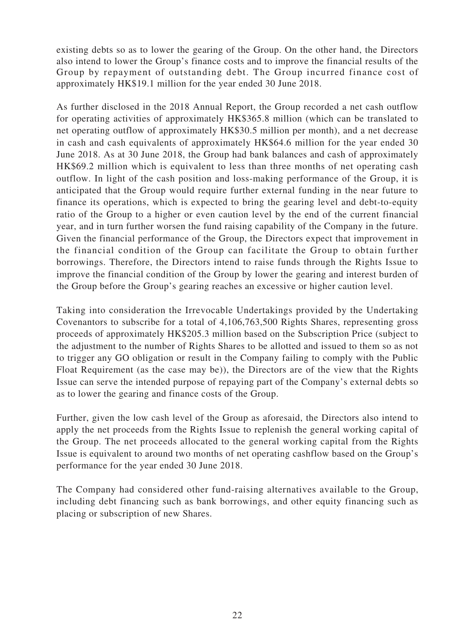existing debts so as to lower the gearing of the Group. On the other hand, the Directors also intend to lower the Group's finance costs and to improve the financial results of the Group by repayment of outstanding debt. The Group incurred finance cost of approximately HK\$19.1 million for the year ended 30 June 2018.

As further disclosed in the 2018 Annual Report, the Group recorded a net cash outflow for operating activities of approximately HK\$365.8 million (which can be translated to net operating outflow of approximately HK\$30.5 million per month), and a net decrease in cash and cash equivalents of approximately HK\$64.6 million for the year ended 30 June 2018. As at 30 June 2018, the Group had bank balances and cash of approximately HK\$69.2 million which is equivalent to less than three months of net operating cash outflow. In light of the cash position and loss-making performance of the Group, it is anticipated that the Group would require further external funding in the near future to finance its operations, which is expected to bring the gearing level and debt-to-equity ratio of the Group to a higher or even caution level by the end of the current financial year, and in turn further worsen the fund raising capability of the Company in the future. Given the financial performance of the Group, the Directors expect that improvement in the financial condition of the Group can facilitate the Group to obtain further borrowings. Therefore, the Directors intend to raise funds through the Rights Issue to improve the financial condition of the Group by lower the gearing and interest burden of the Group before the Group's gearing reaches an excessive or higher caution level.

Taking into consideration the Irrevocable Undertakings provided by the Undertaking Covenantors to subscribe for a total of 4,106,763,500 Rights Shares, representing gross proceeds of approximately HK\$205.3 million based on the Subscription Price (subject to the adjustment to the number of Rights Shares to be allotted and issued to them so as not to trigger any GO obligation or result in the Company failing to comply with the Public Float Requirement (as the case may be)), the Directors are of the view that the Rights Issue can serve the intended purpose of repaying part of the Company's external debts so as to lower the gearing and finance costs of the Group.

Further, given the low cash level of the Group as aforesaid, the Directors also intend to apply the net proceeds from the Rights Issue to replenish the general working capital of the Group. The net proceeds allocated to the general working capital from the Rights Issue is equivalent to around two months of net operating cashflow based on the Group's performance for the year ended 30 June 2018.

The Company had considered other fund-raising alternatives available to the Group, including debt financing such as bank borrowings, and other equity financing such as placing or subscription of new Shares.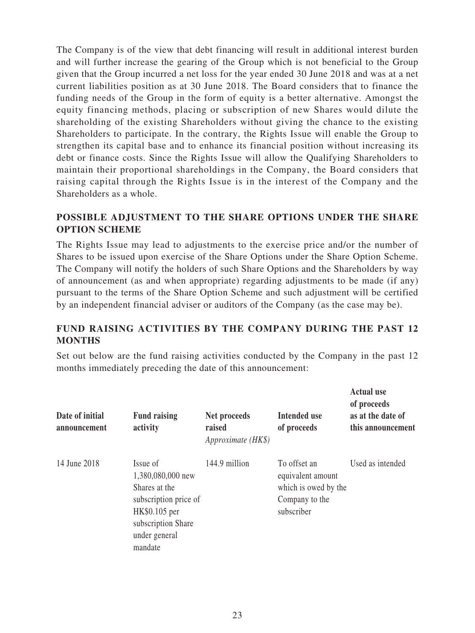The Company is of the view that debt financing will result in additional interest burden and will further increase the gearing of the Group which is not beneficial to the Group given that the Group incurred a net loss for the year ended 30 June 2018 and was at a net current liabilities position as at 30 June 2018. The Board considers that to finance the funding needs of the Group in the form of equity is a better alternative. Amongst the equity financing methods, placing or subscription of new Shares would dilute the shareholding of the existing Shareholders without giving the chance to the existing Shareholders to participate. In the contrary, the Rights Issue will enable the Group to strengthen its capital base and to enhance its financial position without increasing its debt or finance costs. Since the Rights Issue will allow the Qualifying Shareholders to maintain their proportional shareholdings in the Company, the Board considers that raising capital through the Rights Issue is in the interest of the Company and the Shareholders as a whole.

# **POSSIBLE ADJUSTMENT TO THE SHARE OPTIONS UNDER THE SHARE OPTION SCHEME**

The Rights Issue may lead to adjustments to the exercise price and/or the number of Shares to be issued upon exercise of the Share Options under the Share Option Scheme. The Company will notify the holders of such Share Options and the Shareholders by way of announcement (as and when appropriate) regarding adjustments to be made (if any) pursuant to the terms of the Share Option Scheme and such adjustment will be certified by an independent financial adviser or auditors of the Company (as the case may be).

# **FUND RAISING ACTIVITIES BY THE COMPANY DURING THE PAST 12 MONTHS**

Set out below are the fund raising activities conducted by the Company in the past 12 months immediately preceding the date of this announcement:

| Date of initial<br>announcement | <b>Fund raising</b><br>activity                                                                                                            | Net proceeds<br>raised<br>Approximate (HK\$) | Intended use<br>of proceeds                                                               | <b>Actual use</b><br>of proceeds<br>as at the date of<br>this announcement |
|---------------------------------|--------------------------------------------------------------------------------------------------------------------------------------------|----------------------------------------------|-------------------------------------------------------------------------------------------|----------------------------------------------------------------------------|
| 14 June 2018                    | Issue of<br>1,380,080,000 new<br>Shares at the<br>subscription price of<br>HK\$0.105 per<br>subscription Share<br>under general<br>mandate | 144.9 million                                | To offset an<br>equivalent amount<br>which is owed by the<br>Company to the<br>subscriber | Used as intended                                                           |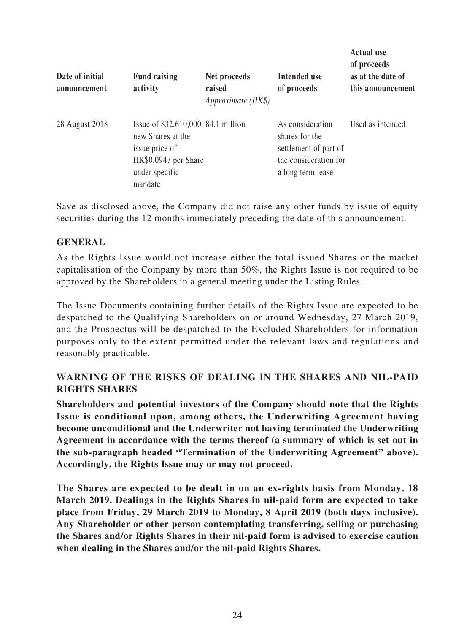| Date of initial<br>announcement | <b>Fund raising</b><br>activity                                                                                               | Net proceeds<br>raised<br>Approximate (HK\$) | <b>Intended use</b><br>of proceeds                                                                        | Actual use<br>of proceeds<br>as at the date of<br>this announcement |
|---------------------------------|-------------------------------------------------------------------------------------------------------------------------------|----------------------------------------------|-----------------------------------------------------------------------------------------------------------|---------------------------------------------------------------------|
| 28 August 2018                  | Issue of 832,610,000 84.1 million<br>new Shares at the<br>issue price of<br>HK\$0.0947 per Share<br>under specific<br>mandate |                                              | As consideration<br>shares for the<br>settlement of part of<br>the consideration for<br>a long term lease | Used as intended                                                    |

**Actual use** 

Save as disclosed above, the Company did not raise any other funds by issue of equity securities during the 12 months immediately preceding the date of this announcement.

# **GENERAL**

As the Rights Issue would not increase either the total issued Shares or the market capitalisation of the Company by more than 50%, the Rights Issue is not required to be approved by the Shareholders in a general meeting under the Listing Rules.

The Issue Documents containing further details of the Rights Issue are expected to be despatched to the Qualifying Shareholders on or around Wednesday, 27 March 2019, and the Prospectus will be despatched to the Excluded Shareholders for information purposes only to the extent permitted under the relevant laws and regulations and reasonably practicable.

# **WARNING OF THE RISKS OF DEALING IN THE SHARES AND NIL-PAID RIGHTS SHARES**

**Shareholders and potential investors of the Company should note that the Rights Issue is conditional upon, among others, the Underwriting Agreement having become unconditional and the Underwriter not having terminated the Underwriting Agreement in accordance with the terms thereof (a summary of which is set out in the sub-paragraph headed "Termination of the Underwriting Agreement" above). Accordingly, the Rights Issue may or may not proceed.**

**The Shares are expected to be dealt in on an ex-rights basis from Monday, 18 March 2019. Dealings in the Rights Shares in nil-paid form are expected to take place from Friday, 29 March 2019 to Monday, 8 April 2019 (both days inclusive). Any Shareholder or other person contemplating transferring, selling or purchasing the Shares and/or Rights Shares in their nil-paid form is advised to exercise caution when dealing in the Shares and/or the nil-paid Rights Shares.**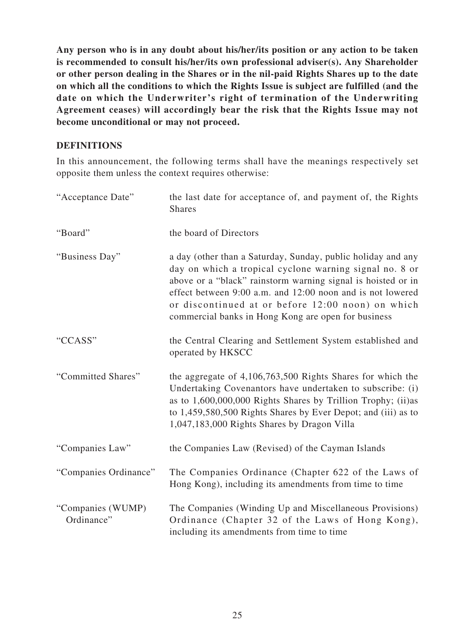**Any person who is in any doubt about his/her/its position or any action to be taken is recommended to consult his/her/its own professional adviser(s). Any Shareholder or other person dealing in the Shares or in the nil-paid Rights Shares up to the date on which all the conditions to which the Rights Issue is subject are fulfilled (and the date on which the Underwriter's right of termination of the Underwriting Agreement ceases) will accordingly bear the risk that the Rights Issue may not become unconditional or may not proceed.**

# **DEFINITIONS**

In this announcement, the following terms shall have the meanings respectively set opposite them unless the context requires otherwise:

| "Acceptance Date"               | the last date for acceptance of, and payment of, the Rights<br><b>Shares</b>                                                                                                                                                                                                                                                                                      |
|---------------------------------|-------------------------------------------------------------------------------------------------------------------------------------------------------------------------------------------------------------------------------------------------------------------------------------------------------------------------------------------------------------------|
| "Board"                         | the board of Directors                                                                                                                                                                                                                                                                                                                                            |
| "Business Day"                  | a day (other than a Saturday, Sunday, public holiday and any<br>day on which a tropical cyclone warning signal no. 8 or<br>above or a "black" rainstorm warning signal is hoisted or in<br>effect between 9:00 a.m. and 12:00 noon and is not lowered<br>or discontinued at or before 12:00 noon) on which<br>commercial banks in Hong Kong are open for business |
| "CCASS"                         | the Central Clearing and Settlement System established and<br>operated by HKSCC                                                                                                                                                                                                                                                                                   |
| "Committed Shares"              | the aggregate of 4,106,763,500 Rights Shares for which the<br>Undertaking Covenantors have undertaken to subscribe: (i)<br>as to $1,600,000,000$ Rights Shares by Trillion Trophy; (ii)as<br>to 1,459,580,500 Rights Shares by Ever Depot; and (iii) as to<br>1,047,183,000 Rights Shares by Dragon Villa                                                         |
| "Companies Law"                 | the Companies Law (Revised) of the Cayman Islands                                                                                                                                                                                                                                                                                                                 |
| "Companies Ordinance"           | The Companies Ordinance (Chapter 622 of the Laws of<br>Hong Kong), including its amendments from time to time                                                                                                                                                                                                                                                     |
| "Companies (WUMP)<br>Ordinance" | The Companies (Winding Up and Miscellaneous Provisions)<br>Ordinance (Chapter 32 of the Laws of Hong Kong),<br>including its amendments from time to time                                                                                                                                                                                                         |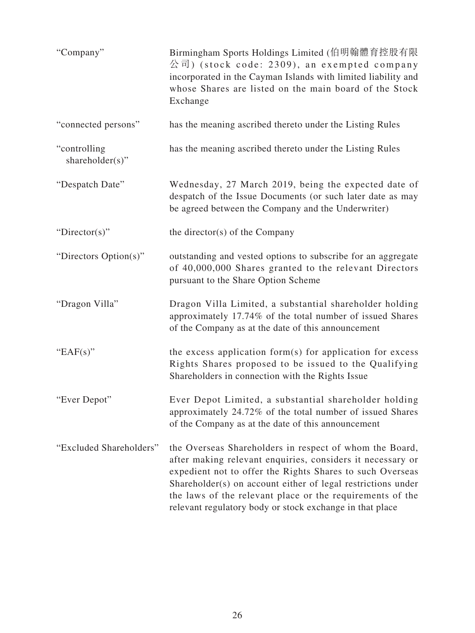| "Company"                        | Birmingham Sports Holdings Limited (伯明翰體育控股有限<br>公司) (stock code: 2309), an exempted company<br>incorporated in the Cayman Islands with limited liability and<br>whose Shares are listed on the main board of the Stock<br>Exchange                                                                                                                                         |
|----------------------------------|-----------------------------------------------------------------------------------------------------------------------------------------------------------------------------------------------------------------------------------------------------------------------------------------------------------------------------------------------------------------------------|
| "connected persons"              | has the meaning ascribed thereto under the Listing Rules                                                                                                                                                                                                                                                                                                                    |
| "controlling"<br>shareholder(s)" | has the meaning ascribed thereto under the Listing Rules                                                                                                                                                                                                                                                                                                                    |
| "Despatch Date"                  | Wednesday, 27 March 2019, being the expected date of<br>despatch of the Issue Documents (or such later date as may<br>be agreed between the Company and the Underwriter)                                                                                                                                                                                                    |
| "Director(s)"                    | the director(s) of the Company                                                                                                                                                                                                                                                                                                                                              |
| "Directors Option(s)"            | outstanding and vested options to subscribe for an aggregate<br>of 40,000,000 Shares granted to the relevant Directors<br>pursuant to the Share Option Scheme                                                                                                                                                                                                               |
| "Dragon Villa"                   | Dragon Villa Limited, a substantial shareholder holding<br>approximately 17.74% of the total number of issued Shares<br>of the Company as at the date of this announcement                                                                                                                                                                                                  |
| "EAF $(s)$ "                     | the excess application form(s) for application for excess<br>Rights Shares proposed to be issued to the Qualifying<br>Shareholders in connection with the Rights Issue                                                                                                                                                                                                      |
| "Ever Depot"                     | Ever Depot Limited, a substantial shareholder holding<br>approximately 24.72% of the total number of issued Shares<br>of the Company as at the date of this announcement                                                                                                                                                                                                    |
| "Excluded Shareholders"          | the Overseas Shareholders in respect of whom the Board,<br>after making relevant enquiries, considers it necessary or<br>expedient not to offer the Rights Shares to such Overseas<br>Shareholder(s) on account either of legal restrictions under<br>the laws of the relevant place or the requirements of the<br>relevant regulatory body or stock exchange in that place |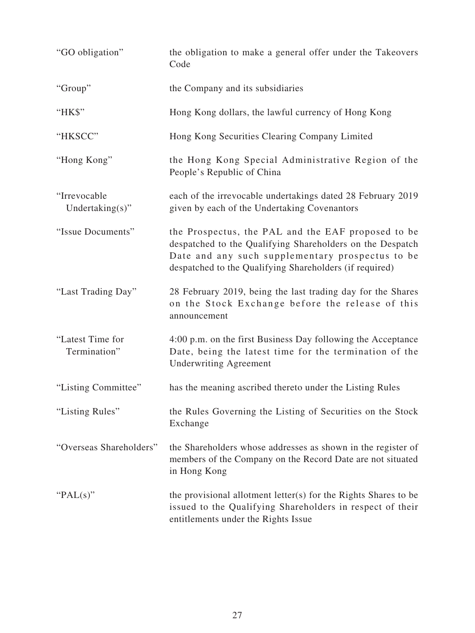| "GO obligation"                     | the obligation to make a general offer under the Takeovers<br>Code                                                                                                                                                             |
|-------------------------------------|--------------------------------------------------------------------------------------------------------------------------------------------------------------------------------------------------------------------------------|
| "Group"                             | the Company and its subsidiaries                                                                                                                                                                                               |
| "HK\$"                              | Hong Kong dollars, the lawful currency of Hong Kong                                                                                                                                                                            |
| "HKSCC"                             | Hong Kong Securities Clearing Company Limited                                                                                                                                                                                  |
| "Hong Kong"                         | the Hong Kong Special Administrative Region of the<br>People's Republic of China                                                                                                                                               |
| "Irrevocable<br>Undertaking $(s)$ " | each of the irrevocable undertakings dated 28 February 2019<br>given by each of the Undertaking Covenantors                                                                                                                    |
| "Issue Documents"                   | the Prospectus, the PAL and the EAF proposed to be<br>despatched to the Qualifying Shareholders on the Despatch<br>Date and any such supplementary prospectus to be<br>despatched to the Qualifying Shareholders (if required) |
| "Last Trading Day"                  | 28 February 2019, being the last trading day for the Shares<br>on the Stock Exchange before the release of this<br>announcement                                                                                                |
| "Latest Time for<br>Termination"    | 4:00 p.m. on the first Business Day following the Acceptance<br>Date, being the latest time for the termination of the<br><b>Underwriting Agreement</b>                                                                        |
| "Listing Committee"                 | has the meaning ascribed thereto under the Listing Rules                                                                                                                                                                       |
| "Listing Rules"                     | the Rules Governing the Listing of Securities on the Stock<br>Exchange                                                                                                                                                         |
| "Overseas Shareholders"             | the Shareholders whose addresses as shown in the register of<br>members of the Company on the Record Date are not situated<br>in Hong Kong                                                                                     |
| " $PAL(s)$ "                        | the provisional allotment letter(s) for the Rights Shares to be<br>issued to the Qualifying Shareholders in respect of their<br>entitlements under the Rights Issue                                                            |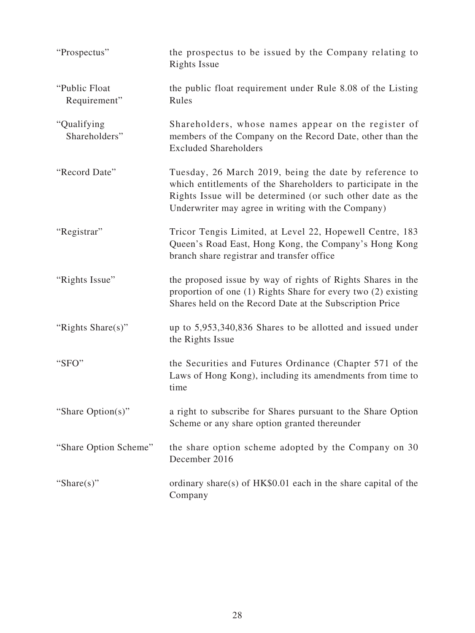| "Prospectus"                   | the prospectus to be issued by the Company relating to<br><b>Rights Issue</b>                                                                                                                                                              |
|--------------------------------|--------------------------------------------------------------------------------------------------------------------------------------------------------------------------------------------------------------------------------------------|
| "Public Float"<br>Requirement" | the public float requirement under Rule 8.08 of the Listing<br>Rules                                                                                                                                                                       |
| "Qualifying"<br>Shareholders"  | Shareholders, whose names appear on the register of<br>members of the Company on the Record Date, other than the<br><b>Excluded Shareholders</b>                                                                                           |
| "Record Date"                  | Tuesday, 26 March 2019, being the date by reference to<br>which entitlements of the Shareholders to participate in the<br>Rights Issue will be determined (or such other date as the<br>Underwriter may agree in writing with the Company) |
| "Registrar"                    | Tricor Tengis Limited, at Level 22, Hopewell Centre, 183<br>Queen's Road East, Hong Kong, the Company's Hong Kong<br>branch share registrar and transfer office                                                                            |
| "Rights Issue"                 | the proposed issue by way of rights of Rights Shares in the<br>proportion of one (1) Rights Share for every two (2) existing<br>Shares held on the Record Date at the Subscription Price                                                   |
| "Rights Share(s)"              | up to 5,953,340,836 Shares to be allotted and issued under<br>the Rights Issue                                                                                                                                                             |
| "SFO"                          | the Securities and Futures Ordinance (Chapter 571 of the<br>Laws of Hong Kong), including its amendments from time to<br>time                                                                                                              |
| "Share Option(s)"              | a right to subscribe for Shares pursuant to the Share Option<br>Scheme or any share option granted thereunder                                                                                                                              |
| "Share Option Scheme"          | the share option scheme adopted by the Company on 30<br>December 2016                                                                                                                                                                      |
| "Share $(s)$ "                 | ordinary share(s) of $HK$0.01$ each in the share capital of the<br>Company                                                                                                                                                                 |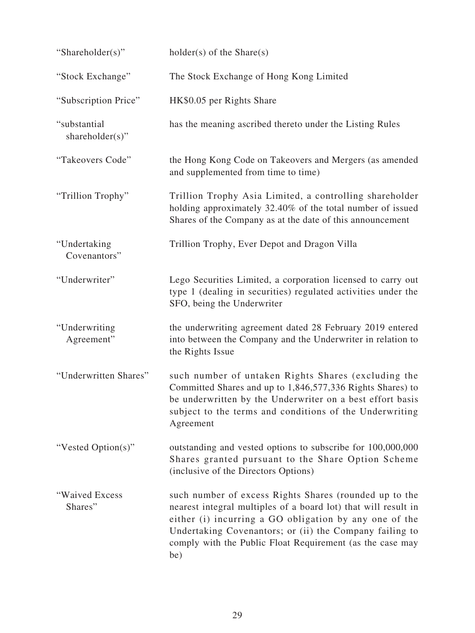| "Shareholder(s)"                | $holder(s)$ of the Share(s)                                                                                                                                                                                                                                                                                       |
|---------------------------------|-------------------------------------------------------------------------------------------------------------------------------------------------------------------------------------------------------------------------------------------------------------------------------------------------------------------|
| "Stock Exchange"                | The Stock Exchange of Hong Kong Limited                                                                                                                                                                                                                                                                           |
| "Subscription Price"            | HK\$0.05 per Rights Share                                                                                                                                                                                                                                                                                         |
| "substantial<br>shareholder(s)" | has the meaning ascribed thereto under the Listing Rules                                                                                                                                                                                                                                                          |
| "Takeovers Code"                | the Hong Kong Code on Takeovers and Mergers (as amended<br>and supplemented from time to time)                                                                                                                                                                                                                    |
| "Trillion Trophy"               | Trillion Trophy Asia Limited, a controlling shareholder<br>holding approximately 32.40% of the total number of issued<br>Shares of the Company as at the date of this announcement                                                                                                                                |
| "Undertaking<br>Covenantors"    | Trillion Trophy, Ever Depot and Dragon Villa                                                                                                                                                                                                                                                                      |
| "Underwriter"                   | Lego Securities Limited, a corporation licensed to carry out<br>type 1 (dealing in securities) regulated activities under the<br>SFO, being the Underwriter                                                                                                                                                       |
| "Underwriting<br>Agreement"     | the underwriting agreement dated 28 February 2019 entered<br>into between the Company and the Underwriter in relation to<br>the Rights Issue                                                                                                                                                                      |
| "Underwritten Shares"           | such number of untaken Rights Shares (excluding the<br>Committed Shares and up to 1,846,577,336 Rights Shares) to<br>be underwritten by the Underwriter on a best effort basis<br>subject to the terms and conditions of the Underwriting<br>Agreement                                                            |
| "Vested Option(s)"              | outstanding and vested options to subscribe for 100,000,000<br>Shares granted pursuant to the Share Option Scheme<br>(inclusive of the Directors Options)                                                                                                                                                         |
| "Waived Excess<br>Shares"       | such number of excess Rights Shares (rounded up to the<br>nearest integral multiples of a board lot) that will result in<br>either (i) incurring a GO obligation by any one of the<br>Undertaking Covenantors; or (ii) the Company failing to<br>comply with the Public Float Requirement (as the case may<br>be) |